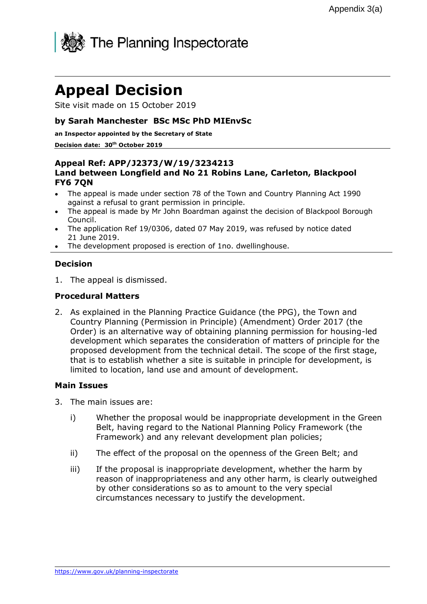

# Appeal Decision

Site visit made on 15 October 2019

## by Sarah Manchester BSc MSc PhD MIEnvSc

#### an Inspector appointed by the Secretary of State

#### Decision date: 30<sup>th</sup> October 2019

## Appeal Ref: APP/J2373/W/19/3234213 Land between Longfield and No 21 Robins Lane, Carleton, Blackpool FY6 7QN

- The appeal is made under section 78 of the Town and Country Planning Act 1990 against a refusal to grant permission in principle.
- The appeal is made by Mr John Boardman against the decision of Blackpool Borough Council.
- The application Ref 19/0306, dated 07 May 2019, was refused by notice dated 21 June 2019.
- The development proposed is erection of 1no. dwellinghouse.

### Decision

1. The appeal is dismissed.

# Procedural Matters

2. As explained in the Planning Practice Guidance (the PPG), the Town and Country Planning (Permission in Principle) (Amendment) Order 2017 (the Order) is an alternative way of obtaining planning permission for housing-led development which separates the consideration of matters of principle for the proposed development from the technical detail. The scope of the first stage, that is to establish whether a site is suitable in principle for development, is limited to location, land use and amount of development.

#### Main Issues

- 3. The main issues are:
	- i) Whether the proposal would be inappropriate development in the Green Belt, having regard to the National Planning Policy Framework (the Framework) and any relevant development plan policies;
	- ii) The effect of the proposal on the openness of the Green Belt; and
	- iii) If the proposal is inappropriate development, whether the harm by reason of inappropriateness and any other harm, is clearly outweighed by other considerations so as to amount to the very special circumstances necessary to justify the development.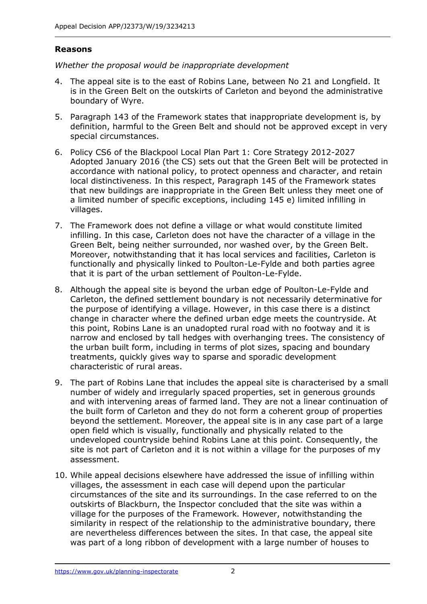# Reasons

Whether the proposal would be inappropriate development

- 4. The appeal site is to the east of Robins Lane, between No 21 and Longfield. It is in the Green Belt on the outskirts of Carleton and beyond the administrative boundary of Wyre.
- 5. Paragraph 143 of the Framework states that inappropriate development is, by definition, harmful to the Green Belt and should not be approved except in very special circumstances.
- 6. Policy CS6 of the Blackpool Local Plan Part 1: Core Strategy 2012-2027 Adopted January 2016 (the CS) sets out that the Green Belt will be protected in accordance with national policy, to protect openness and character, and retain local distinctiveness. In this respect, Paragraph 145 of the Framework states that new buildings are inappropriate in the Green Belt unless they meet one of a limited number of specific exceptions, including 145 e) limited infilling in villages.
- 7. The Framework does not define a village or what would constitute limited infilling. In this case, Carleton does not have the character of a village in the Green Belt, being neither surrounded, nor washed over, by the Green Belt. Moreover, notwithstanding that it has local services and facilities, Carleton is functionally and physically linked to Poulton-Le-Fylde and both parties agree that it is part of the urban settlement of Poulton-Le-Fylde.
- 8. Although the appeal site is beyond the urban edge of Poulton-Le-Fylde and Carleton, the defined settlement boundary is not necessarily determinative for the purpose of identifying a village. However, in this case there is a distinct change in character where the defined urban edge meets the countryside. At this point, Robins Lane is an unadopted rural road with no footway and it is narrow and enclosed by tall hedges with overhanging trees. The consistency of the urban built form, including in terms of plot sizes, spacing and boundary treatments, quickly gives way to sparse and sporadic development characteristic of rural areas.
- 9. The part of Robins Lane that includes the appeal site is characterised by a small number of widely and irregularly spaced properties, set in generous grounds and with intervening areas of farmed land. They are not a linear continuation of the built form of Carleton and they do not form a coherent group of properties beyond the settlement. Moreover, the appeal site is in any case part of a large open field which is visually, functionally and physically related to the undeveloped countryside behind Robins Lane at this point. Consequently, the site is not part of Carleton and it is not within a village for the purposes of my assessment.
- 10. While appeal decisions elsewhere have addressed the issue of infilling within villages, the assessment in each case will depend upon the particular circumstances of the site and its surroundings. In the case referred to on the outskirts of Blackburn, the Inspector concluded that the site was within a village for the purposes of the Framework. However, notwithstanding the similarity in respect of the relationship to the administrative boundary, there are nevertheless differences between the sites. In that case, the appeal site was part of a long ribbon of development with a large number of houses to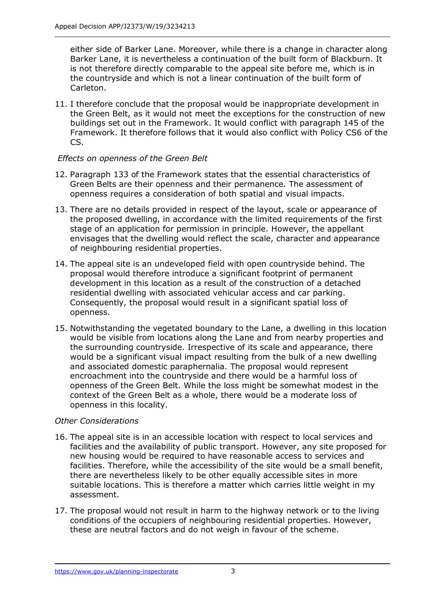either side of Barker Lane. Moreover, while there is a change in character along Barker Lane, it is nevertheless a continuation of the built form of Blackburn. It is not therefore directly comparable to the appeal site before me, which is in the countryside and which is not a linear continuation of the built form of Carleton.

11. I therefore conclude that the proposal would be inappropriate development in the Green Belt, as it would not meet the exceptions for the construction of new buildings set out in the Framework. It would conflict with paragraph 145 of the Framework. It therefore follows that it would also conflict with Policy CS6 of the CS.

# Effects on openness of the Green Belt

- 12. Paragraph 133 of the Framework states that the essential characteristics of Green Belts are their openness and their permanence. The assessment of openness requires a consideration of both spatial and visual impacts.
- 13. There are no details provided in respect of the layout, scale or appearance of the proposed dwelling, in accordance with the limited requirements of the first stage of an application for permission in principle. However, the appellant envisages that the dwelling would reflect the scale, character and appearance of neighbouring residential properties.
- 14. The appeal site is an undeveloped field with open countryside behind. The proposal would therefore introduce a significant footprint of permanent development in this location as a result of the construction of a detached residential dwelling with associated vehicular access and car parking. Consequently, the proposal would result in a significant spatial loss of openness.
- 15. Notwithstanding the vegetated boundary to the Lane, a dwelling in this location would be visible from locations along the Lane and from nearby properties and the surrounding countryside. Irrespective of its scale and appearance, there would be a significant visual impact resulting from the bulk of a new dwelling and associated domestic paraphernalia. The proposal would represent encroachment into the countryside and there would be a harmful loss of openness of the Green Belt. While the loss might be somewhat modest in the context of the Green Belt as a whole, there would be a moderate loss of openness in this locality.

# Other Considerations

- 16. The appeal site is in an accessible location with respect to local services and facilities and the availability of public transport. However, any site proposed for new housing would be required to have reasonable access to services and facilities. Therefore, while the accessibility of the site would be a small benefit, there are nevertheless likely to be other equally accessible sites in more suitable locations. This is therefore a matter which carries little weight in my assessment.
- 17. The proposal would not result in harm to the highway network or to the living conditions of the occupiers of neighbouring residential properties. However, these are neutral factors and do not weigh in favour of the scheme.